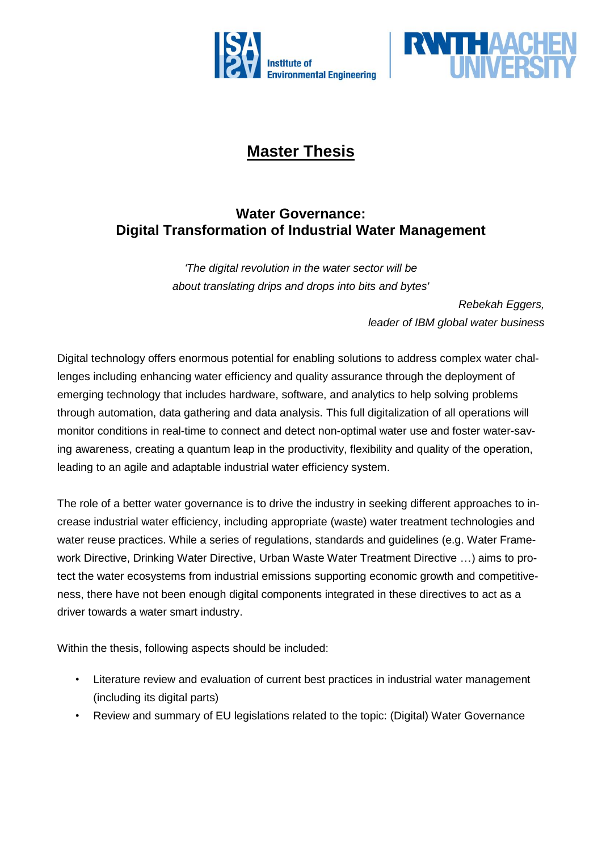



## **Master Thesis**

## **Water Governance: Digital Transformation of Industrial Water Management**

*'The digital revolution in the water sector will be about translating drips and drops into bits and bytes'*

> *Rebekah Eggers, leader of IBM global water business*

Digital technology offers enormous potential for enabling solutions to address complex water challenges including enhancing water efficiency and quality assurance through the deployment of emerging technology that includes hardware, software, and analytics to help solving problems through automation, data gathering and data analysis. This full digitalization of all operations will monitor conditions in real-time to connect and detect non-optimal water use and foster water-saving awareness, creating a quantum leap in the productivity, flexibility and quality of the operation, leading to an agile and adaptable industrial water efficiency system.

The role of a better water governance is to drive the industry in seeking different approaches to increase industrial water efficiency, including appropriate (waste) water treatment technologies and water reuse practices. While a series of regulations, standards and guidelines (e.g. Water Framework Directive, Drinking Water Directive, Urban Waste Water Treatment Directive …) aims to protect the water ecosystems from industrial emissions supporting economic growth and competitiveness, there have not been enough digital components integrated in these directives to act as a driver towards a water smart industry.

Within the thesis, following aspects should be included:

- Literature review and evaluation of current best practices in industrial water management (including its digital parts)
- Review and summary of EU legislations related to the topic: (Digital) Water Governance